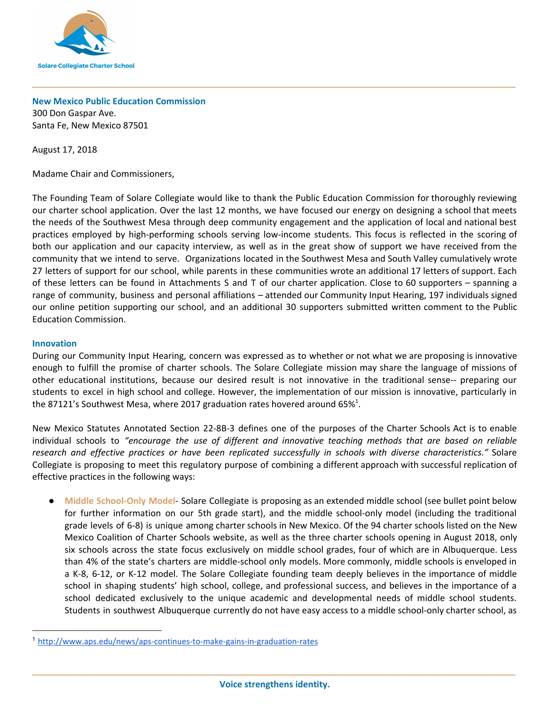

# **New Mexico Public Education Commission**

300 Don Gaspar Ave. Santa Fe, New Mexico 87501

August 17, 2018

Madame Chair and Commissioners,

The Founding Team of Solare Collegiate would like to thank the Public Education Commission for thoroughly reviewing our charter school application. Over the last 12 months, we have focused our energy on designing a school that meets the needs of the Southwest Mesa through deep community engagement and the application of local and national best practices employed by high-performing schools serving low-income students. This focus is reflected in the scoring of both our application and our capacity interview, as well as in the great show of support we have received from the community that we intend to serve. Organizations located in the Southwest Mesa and South Valley cumulatively wrote 27 letters of support for our school, while parents in these communities wrote an additional 17 letters of support. Each of these letters can be found in Attachments S and T of our charter application. Close to 60 supporters – spanning a range of community, business and personal affiliations – attended our Community Input Hearing, 197 individuals signed our online petition supporting our school, and an additional 30 supporters submitted written comment to the Public Education Commission.

**\_\_\_\_\_\_\_\_\_\_\_\_\_\_\_\_\_\_\_\_\_\_\_\_\_\_\_\_\_\_\_\_\_\_\_\_\_\_\_\_\_\_\_\_\_\_\_\_\_\_\_\_\_\_\_\_\_\_\_\_\_\_\_\_\_\_\_\_\_\_\_\_\_\_\_\_\_\_\_\_\_\_\_\_\_\_\_\_**

#### **Innovation**

During our Community Input Hearing, concern was expressed as to whether or not what we are proposing is innovative enough to fulfill the promise of charter schools. The Solare Collegiate mission may share the language of missions of other educational institutions, because our desired result is not innovative in the traditional sense-- preparing our students to excel in high school and college. However, the implementation of our mission is innovative, particularly in the 87121's Southwest Mesa, where 2017 graduation rates hovered around 65% $^1$ .

New Mexico Statutes Annotated Section 22-8B-3 defines one of the purposes of the Charter Schools Act is to enable individual schools to *"encourage the use of different and innovative teaching methods that are based on reliable research and effective practices or have been replicated successfully in schools with diverse characteristics."* Solare Collegiate is proposing to meet this regulatory purpose of combining a different approach with successful replication of effective practices in the following ways:

● **Middle School-Only Model**- Solare Collegiate is proposing as an extended middle school (see bullet point below for further information on our 5th grade start), and the middle school-only model (including the traditional grade levels of 6-8) is unique among charter schools in New Mexico. Of the 94 charter schools listed on the New Mexico Coalition of Charter Schools website, as well as the three charter schools opening in August 2018, only six schools across the state focus exclusively on middle school grades, four of which are in Albuquerque. Less than 4% of the state's charters are middle-school only models. More commonly, middle schools is enveloped in a K-8, 6-12, or K-12 model. The Solare Collegiate founding team deeply believes in the importance of middle school in shaping students' high school, college, and professional success, and believes in the importance of a school dedicated exclusively to the unique academic and developmental needs of middle school students. Students in southwest Albuquerque currently do not have easy access to a middle school-only charter school, as

<sup>1</sup> <http://www.aps.edu/news/aps-continues-to-make-gains-in-graduation-rates>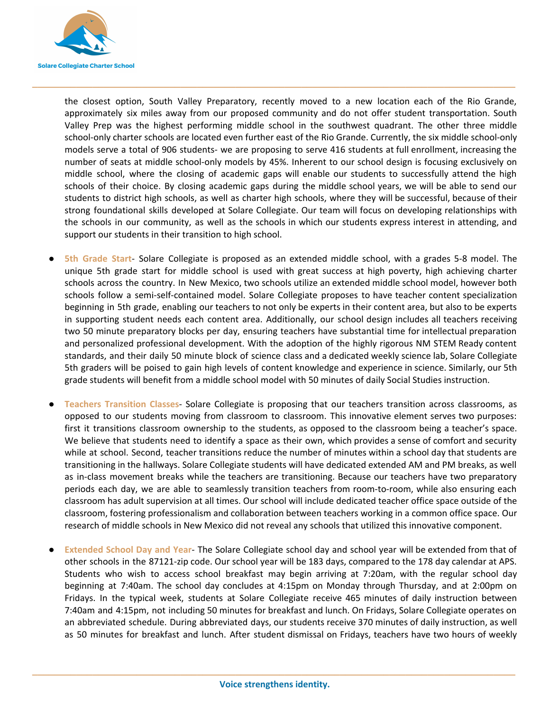

the closest option, South Valley Preparatory, recently moved to a new location each of the Rio Grande, approximately six miles away from our proposed community and do not offer student transportation. South Valley Prep was the highest performing middle school in the southwest quadrant. The other three middle school-only charter schools are located even further east of the Rio Grande. Currently, the six middle school-only models serve a total of 906 students- we are proposing to serve 416 students at full enrollment, increasing the number of seats at middle school-only models by 45%. Inherent to our school design is focusing exclusively on middle school, where the closing of academic gaps will enable our students to successfully attend the high schools of their choice. By closing academic gaps during the middle school years, we will be able to send our students to district high schools, as well as charter high schools, where they will be successful, because of their strong foundational skills developed at Solare Collegiate. Our team will focus on developing relationships with the schools in our community, as well as the schools in which our students express interest in attending, and support our students in their transition to high school.

**\_\_\_\_\_\_\_\_\_\_\_\_\_\_\_\_\_\_\_\_\_\_\_\_\_\_\_\_\_\_\_\_\_\_\_\_\_\_\_\_\_\_\_\_\_\_\_\_\_\_\_\_\_\_\_\_\_\_\_\_\_\_\_\_\_\_\_\_\_\_\_\_\_\_\_\_\_\_\_\_\_\_\_\_\_\_\_\_**

- **5th Grade Start** Solare Collegiate is proposed as an extended middle school, with a grades 5-8 model. The unique 5th grade start for middle school is used with great success at high poverty, high achieving charter schools across the country. In New Mexico, two schools utilize an extended middle school model, however both schools follow a semi-self-contained model. Solare Collegiate proposes to have teacher content specialization beginning in 5th grade, enabling our teachers to not only be experts in their content area, but also to be experts in supporting student needs each content area. Additionally, our school design includes all teachers receiving two 50 minute preparatory blocks per day, ensuring teachers have substantial time for intellectual preparation and personalized professional development. With the adoption of the highly rigorous NM STEM Ready content standards, and their daily 50 minute block of science class and a dedicated weekly science lab, Solare Collegiate 5th graders will be poised to gain high levels of content knowledge and experience in science. Similarly, our 5th grade students will benefit from a middle school model with 50 minutes of daily Social Studies instruction.
- **Teachers Transition Classes** Solare Collegiate is proposing that our teachers transition across classrooms, as opposed to our students moving from classroom to classroom. This innovative element serves two purposes: first it transitions classroom ownership to the students, as opposed to the classroom being a teacher's space. We believe that students need to identify a space as their own, which provides a sense of comfort and security while at school. Second, teacher transitions reduce the number of minutes within a school day that students are transitioning in the hallways. Solare Collegiate students will have dedicated extended AM and PM breaks, as well as in-class movement breaks while the teachers are transitioning. Because our teachers have two preparatory periods each day, we are able to seamlessly transition teachers from room-to-room, while also ensuring each classroom has adult supervision at all times. Our school will include dedicated teacher office space outside of the classroom, fostering professionalism and collaboration between teachers working in a common office space. Our research of middle schools in New Mexico did not reveal any schools that utilized this innovative component.
- **Extended School Day and Year- The Solare Collegiate school day and school year will be extended from that of** other schools in the 87121-zip code. Our school year will be 183 days, compared to the 178 day calendar at APS. Students who wish to access school breakfast may begin arriving at 7:20am, with the regular school day beginning at 7:40am. The school day concludes at 4:15pm on Monday through Thursday, and at 2:00pm on Fridays. In the typical week, students at Solare Collegiate receive 465 minutes of daily instruction between 7:40am and 4:15pm, not including 50 minutes for breakfast and lunch. On Fridays, Solare Collegiate operates on an abbreviated schedule. During abbreviated days, our students receive 370 minutes of daily instruction, as well as 50 minutes for breakfast and lunch. After student dismissal on Fridays, teachers have two hours of weekly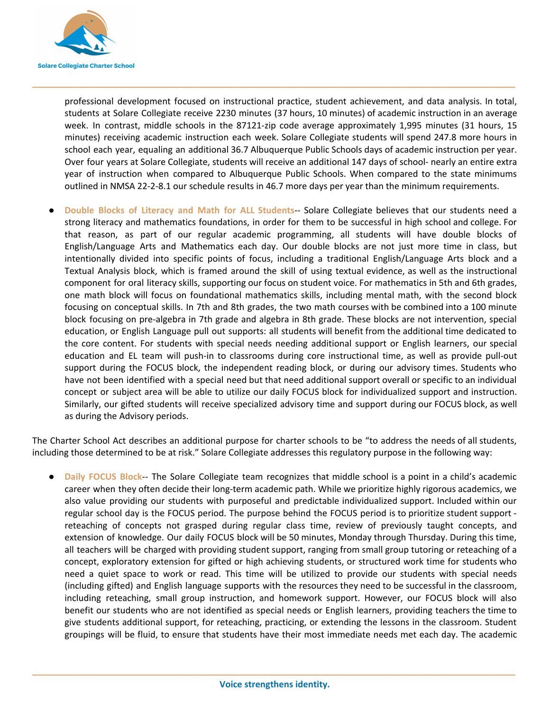

professional development focused on instructional practice, student achievement, and data analysis. In total, students at Solare Collegiate receive 2230 minutes (37 hours, 10 minutes) of academic instruction in an average week. In contrast, middle schools in the 87121-zip code average approximately 1,995 minutes (31 hours, 15 minutes) receiving academic instruction each week. Solare Collegiate students will spend 247.8 more hours in school each year, equaling an additional 36.7 Albuquerque Public Schools days of academic instruction per year. Over four years at Solare Collegiate, students will receive an additional 147 days of school- nearly an entire extra year of instruction when compared to Albuquerque Public Schools. When compared to the state minimums outlined in NMSA 22-2-8.1 our schedule results in 46.7 more days per year than the minimum requirements.

**\_\_\_\_\_\_\_\_\_\_\_\_\_\_\_\_\_\_\_\_\_\_\_\_\_\_\_\_\_\_\_\_\_\_\_\_\_\_\_\_\_\_\_\_\_\_\_\_\_\_\_\_\_\_\_\_\_\_\_\_\_\_\_\_\_\_\_\_\_\_\_\_\_\_\_\_\_\_\_\_\_\_\_\_\_\_\_\_**

● **Double Blocks of Literacy and Math for ALL Students**-- Solare Collegiate believes that our students need a strong literacy and mathematics foundations, in order for them to be successful in high school and college. For that reason, as part of our regular academic programming, all students will have double blocks of English/Language Arts and Mathematics each day. Our double blocks are not just more time in class, but intentionally divided into specific points of focus, including a traditional English/Language Arts block and a Textual Analysis block, which is framed around the skill of using textual evidence, as well as the instructional component for oral literacy skills, supporting our focus on student voice. For mathematics in 5th and 6th grades, one math block will focus on foundational mathematics skills, including mental math, with the second block focusing on conceptual skills. In 7th and 8th grades, the two math courses with be combined into a 100 minute block focusing on pre-algebra in 7th grade and algebra in 8th grade. These blocks are not intervention, special education, or English Language pull out supports: all students will benefit from the additional time dedicated to the core content. For students with special needs needing additional support or English learners, our special education and EL team will push-in to classrooms during core instructional time, as well as provide pull-out support during the FOCUS block, the independent reading block, or during our advisory times. Students who have not been identified with a special need but that need additional support overall or specific to an individual concept or subject area will be able to utilize our daily FOCUS block for individualized support and instruction. Similarly, our gifted students will receive specialized advisory time and support during our FOCUS block, as well as during the Advisory periods.

The Charter School Act describes an additional purpose for charter schools to be "to address the needs of all students, including those determined to be at risk." Solare Collegiate addresses this regulatory purpose in the following way:

**Daily FOCUS Block--** The Solare Collegiate team recognizes that middle school is a point in a child's academic career when they often decide their long-term academic path. While we prioritize highly rigorous academics, we also value providing our students with purposeful and predictable individualized support. Included within our regular school day is the FOCUS period. The purpose behind the FOCUS period is to prioritize student support reteaching of concepts not grasped during regular class time, review of previously taught concepts, and extension of knowledge. Our daily FOCUS block will be 50 minutes, Monday through Thursday. During this time, all teachers will be charged with providing student support, ranging from small group tutoring or reteaching of a concept, exploratory extension for gifted or high achieving students, or structured work time for students who need a quiet space to work or read. This time will be utilized to provide our students with special needs (including gifted) and English language supports with the resources they need to be successful in the classroom, including reteaching, small group instruction, and homework support. However, our FOCUS block will also benefit our students who are not identified as special needs or English learners, providing teachers the time to give students additional support, for reteaching, practicing, or extending the lessons in the classroom. Student groupings will be fluid, to ensure that students have their most immediate needs met each day. The academic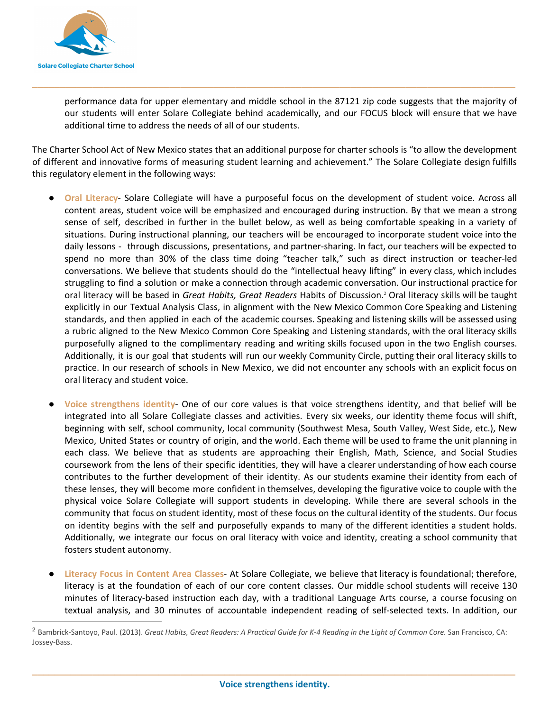

performance data for upper elementary and middle school in the 87121 zip code suggests that the majority of our students will enter Solare Collegiate behind academically, and our FOCUS block will ensure that we have additional time to address the needs of all of our students.

The Charter School Act of New Mexico states that an additional purpose for charter schools is "to allow the development of different and innovative forms of measuring student learning and achievement." The Solare Collegiate design fulfills this regulatory element in the following ways:

**\_\_\_\_\_\_\_\_\_\_\_\_\_\_\_\_\_\_\_\_\_\_\_\_\_\_\_\_\_\_\_\_\_\_\_\_\_\_\_\_\_\_\_\_\_\_\_\_\_\_\_\_\_\_\_\_\_\_\_\_\_\_\_\_\_\_\_\_\_\_\_\_\_\_\_\_\_\_\_\_\_\_\_\_\_\_\_\_**

- **Oral Literacy** Solare Collegiate will have a purposeful focus on the development of student voice. Across all content areas, student voice will be emphasized and encouraged during instruction. By that we mean a strong sense of self, described in further in the bullet below, as well as being comfortable speaking in a variety of situations. During instructional planning, our teachers will be encouraged to incorporate student voice into the daily lessons - through discussions, presentations, and partner-sharing. In fact, our teachers will be expected to spend no more than 30% of the class time doing "teacher talk," such as direct instruction or teacher-led conversations. We believe that students should do the "intellectual heavy lifting" in every class, which includes struggling to find a solution or make a connection through academic conversation. Our instructional practice for oral literacy will be based in *Great Habits, Great Readers* Habits of Discussion.<sup>2</sup> Oral literacy skills will be taught explicitly in our Textual Analysis Class, in alignment with the New Mexico Common Core Speaking and Listening standards, and then applied in each of the academic courses. Speaking and listening skills will be assessed using a rubric aligned to the New Mexico Common Core Speaking and Listening standards, with the oral literacy skills purposefully aligned to the complimentary reading and writing skills focused upon in the two English courses. Additionally, it is our goal that students will run our weekly Community Circle, putting their oral literacy skills to practice. In our research of schools in New Mexico, we did not encounter any schools with an explicit focus on oral literacy and student voice.
- **● Voice strengthens identity** One of our core values is that voice strengthens identity, and that belief will be integrated into all Solare Collegiate classes and activities. Every six weeks, our identity theme focus will shift, beginning with self, school community, local community (Southwest Mesa, South Valley, West Side, etc.), New Mexico, United States or country of origin, and the world. Each theme will be used to frame the unit planning in each class. We believe that as students are approaching their English, Math, Science, and Social Studies coursework from the lens of their specific identities, they will have a clearer understanding of how each course contributes to the further development of their identity. As our students examine their identity from each of these lenses, they will become more confident in themselves, developing the figurative voice to couple with the physical voice Solare Collegiate will support students in developing. While there are several schools in the community that focus on student identity, most of these focus on the cultural identity of the students. Our focus on identity begins with the self and purposefully expands to many of the different identities a student holds. Additionally, we integrate our focus on oral literacy with voice and identity, creating a school community that fosters student autonomy.
- **Literacy Focus in Content Area Classes** At Solare Collegiate, we believe that literacy is foundational; therefore, literacy is at the foundation of each of our core content classes. Our middle school students will receive 130 minutes of literacy-based instruction each day, with a traditional Language Arts course, a course focusing on textual analysis, and 30 minutes of accountable independent reading of self-selected texts. In addition, our

<sup>2</sup> Bambrick-Santoyo, Paul. (2013). *Great Habits, Great Readers: A Practical Guide for K-4 Reading in the Light of Common Core.* San Francisco, CA: Jossey-Bass.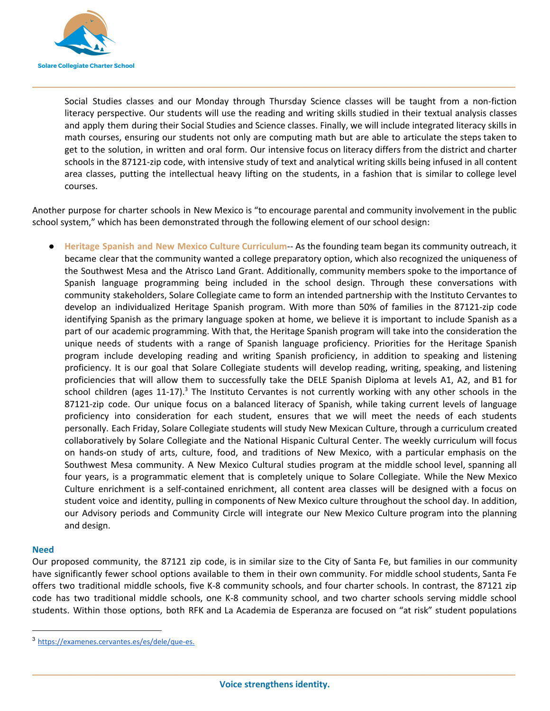

Social Studies classes and our Monday through Thursday Science classes will be taught from a non-fiction literacy perspective. Our students will use the reading and writing skills studied in their textual analysis classes and apply them during their Social Studies and Science classes. Finally, we will include integrated literacy skills in math courses, ensuring our students not only are computing math but are able to articulate the steps taken to get to the solution, in written and oral form. Our intensive focus on literacy differs from the district and charter schools in the 87121-zip code, with intensive study of text and analytical writing skills being infused in all content area classes, putting the intellectual heavy lifting on the students, in a fashion that is similar to college level courses.

Another purpose for charter schools in New Mexico is "to encourage parental and community involvement in the public school system," which has been demonstrated through the following element of our school design:

**\_\_\_\_\_\_\_\_\_\_\_\_\_\_\_\_\_\_\_\_\_\_\_\_\_\_\_\_\_\_\_\_\_\_\_\_\_\_\_\_\_\_\_\_\_\_\_\_\_\_\_\_\_\_\_\_\_\_\_\_\_\_\_\_\_\_\_\_\_\_\_\_\_\_\_\_\_\_\_\_\_\_\_\_\_\_\_\_**

● **Heritage Spanish and New Mexico Culture Curriculum**-- As the founding team began its community outreach, it became clear that the community wanted a college preparatory option, which also recognized the uniqueness of the Southwest Mesa and the Atrisco Land Grant. Additionally, community members spoke to the importance of Spanish language programming being included in the school design. Through these conversations with community stakeholders, Solare Collegiate came to form an intended partnership with the Instituto Cervantes to develop an individualized Heritage Spanish program. With more than 50% of families in the 87121-zip code identifying Spanish as the primary language spoken at home, we believe it is important to include Spanish as a part of our academic programming. With that, the Heritage Spanish program will take into the consideration the unique needs of students with a range of Spanish language proficiency. Priorities for the Heritage Spanish program include developing reading and writing Spanish proficiency, in addition to speaking and listening proficiency. It is our goal that Solare Collegiate students will develop reading, writing, speaking, and listening proficiencies that will allow them to successfully take the DELE Spanish Diploma at levels A1, A2, and B1 for school children (ages 11-17).<sup>3</sup> The Instituto Cervantes is not currently working with any other schools in the 87121-zip code. Our unique focus on a balanced literacy of Spanish, while taking current levels of language proficiency into consideration for each student, ensures that we will meet the needs of each students personally. Each Friday, Solare Collegiate students will study New Mexican Culture, through a curriculum created collaboratively by Solare Collegiate and the National Hispanic Cultural Center. The weekly curriculum will focus on hands-on study of arts, culture, food, and traditions of New Mexico, with a particular emphasis on the Southwest Mesa community. A New Mexico Cultural studies program at the middle school level, spanning all four years, is a programmatic element that is completely unique to Solare Collegiate. While the New Mexico Culture enrichment is a self-contained enrichment, all content area classes will be designed with a focus on student voice and identity, pulling in components of New Mexico culture throughout the school day. In addition, our Advisory periods and Community Circle will integrate our New Mexico Culture program into the planning and design.

### **Need**

Our proposed community, the 87121 zip code, is in similar size to the City of Santa Fe, but families in our community have significantly fewer school options available to them in their own community. For middle school students, Santa Fe offers two traditional middle schools, five K-8 community schools, and four charter schools. In contrast, the 87121 zip code has two traditional middle schools, one K-8 community school, and two charter schools serving middle school students. Within those options, both RFK and La Academia de Esperanza are focused on "at risk" student populations

<sup>3</sup> <https://examenes.cervantes.es/es/dele/que-es>.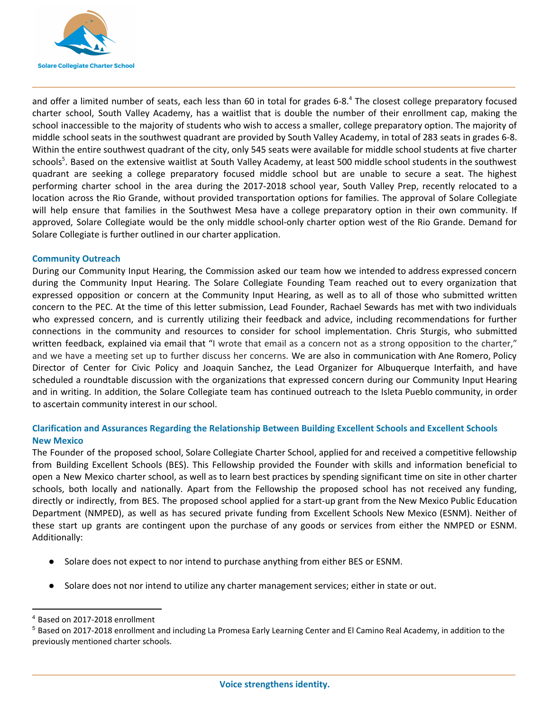

and offer a limited number of seats, each less than 60 in total for grades 6-8.<sup>4</sup> The closest college preparatory focused charter school, South Valley Academy, has a waitlist that is double the number of their enrollment cap, making the school inaccessible to the majority of students who wish to access a smaller, college preparatory option. The majority of middle school seats in the southwest quadrant are provided by South Valley Academy, in total of 283 seats in grades 6-8. Within the entire southwest quadrant of the city, only 545 seats were available for middle school students at five charter schools<sup>5</sup>. Based on the extensive waitlist at South Valley Academy, at least 500 middle school students in the southwest quadrant are seeking a college preparatory focused middle school but are unable to secure a seat. The highest performing charter school in the area during the 2017-2018 school year, South Valley Prep, recently relocated to a location across the Rio Grande, without provided transportation options for families. The approval of Solare Collegiate will help ensure that families in the Southwest Mesa have a college preparatory option in their own community. If approved, Solare Collegiate would be the only middle school-only charter option west of the Rio Grande. Demand for Solare Collegiate is further outlined in our charter application.

**\_\_\_\_\_\_\_\_\_\_\_\_\_\_\_\_\_\_\_\_\_\_\_\_\_\_\_\_\_\_\_\_\_\_\_\_\_\_\_\_\_\_\_\_\_\_\_\_\_\_\_\_\_\_\_\_\_\_\_\_\_\_\_\_\_\_\_\_\_\_\_\_\_\_\_\_\_\_\_\_\_\_\_\_\_\_\_\_**

### **Community Outreach**

During our Community Input Hearing, the Commission asked our team how we intended to address expressed concern during the Community Input Hearing. The Solare Collegiate Founding Team reached out to every organization that expressed opposition or concern at the Community Input Hearing, as well as to all of those who submitted written concern to the PEC. At the time of this letter submission, Lead Founder, Rachael Sewards has met with two individuals who expressed concern, and is currently utilizing their feedback and advice, including recommendations for further connections in the community and resources to consider for school implementation. Chris Sturgis, who submitted written feedback, explained via email that "I wrote that email as a concern not as a strong opposition to the charter," and we have a meeting set up to further discuss her concerns. We are also in communication with Ane Romero, Policy Director of Center for Civic Policy and Joaquin Sanchez, the Lead Organizer for Albuquerque Interfaith, and have scheduled a roundtable discussion with the organizations that expressed concern during our Community Input Hearing and in writing. In addition, the Solare Collegiate team has continued outreach to the Isleta Pueblo community, in order to ascertain community interest in our school.

## **Clarification and Assurances Regarding the Relationship Between Building Excellent Schools and Excellent Schools New Mexico**

The Founder of the proposed school, Solare Collegiate Charter School, applied for and received a competitive fellowship from Building Excellent Schools (BES). This Fellowship provided the Founder with skills and information beneficial to open a New Mexico charter school, as well as to learn best practices by spending significant time on site in other charter schools, both locally and nationally. Apart from the Fellowship the proposed school has not received any funding, directly or indirectly, from BES. The proposed school applied for a start-up grant from the New Mexico Public Education Department (NMPED), as well as has secured private funding from Excellent Schools New Mexico (ESNM). Neither of these start up grants are contingent upon the purchase of any goods or services from either the NMPED or ESNM. Additionally:

- Solare does not expect to nor intend to purchase anything from either BES or ESNM.
- Solare does not nor intend to utilize any charter management services; either in state or out.

<sup>4</sup> Based on 2017-2018 enrollment

<sup>5</sup> Based on 2017-2018 enrollment and including La Promesa Early Learning Center and El Camino Real Academy, in addition to the previously mentioned charter schools.